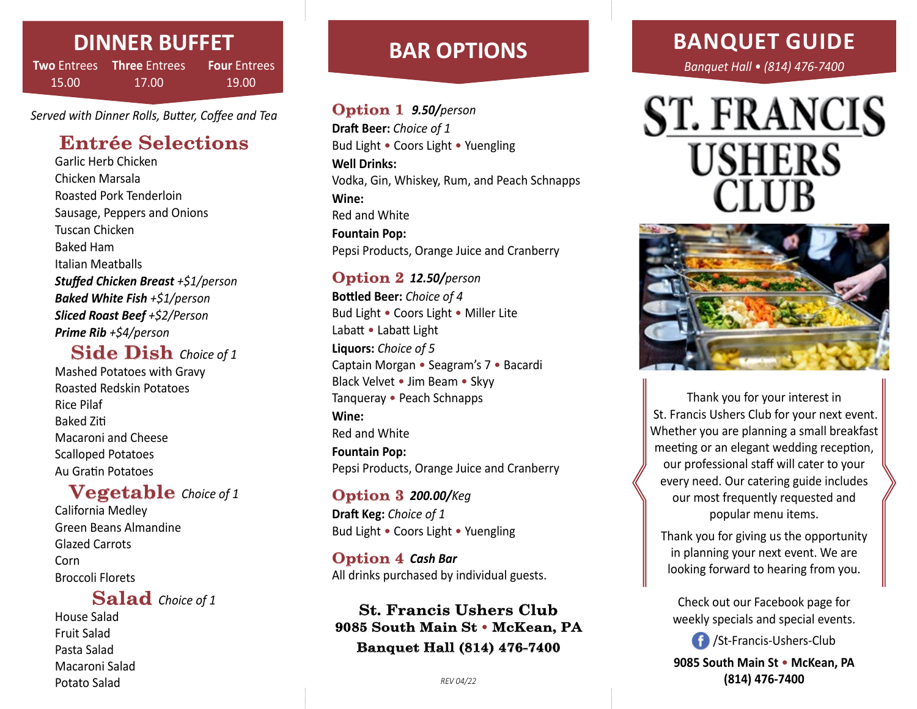### **DINNER BUFFET**

**Two** Entrees **Three** Entrees **Four** Entrees 15.00 17.00 19.00

*Served with Dinner Rolls, Butter, Coffee and Tea*

### **Entrée Selections**

Garlic Herb Chicken Chicken Marsala Roasted Pork Tenderloin Sausage, Peppers and Onions Tuscan Chicken Baked Ham Italian Meatballs *Stuffed Chicken Breast +\$1/person Baked White Fish +\$1/person Sliced Roast Beef +\$2/Person Prime Rib +\$4/person*

#### **Side Dish** *Choice of 1*

Mashed Potatoes with Gravy Roasted Redskin Potatoes Rice Pilaf Baked Ziti Macaroni and Cheese Scalloped Potatoes Au Gratin Potatoes

### **Vegetable** *Choice of 1*

California Medley Green Beans Almandine Glazed Carrots Corn Broccoli Florets

#### **Salad** *Choice of 1*

House Salad Fruit Salad Pasta Salad Macaroni Salad Potato Salad

## **BAR OPTIONS**

**Option 1** *9.50/person*

**Draft Beer:** *Choice of 1* Bud Light • Coors Light • Yuengling **Well Drinks:**  Vodka, Gin, Whiskey, Rum, and Peach Schnapps **Wine:** Red and White **Fountain Pop:** Pepsi Products, Orange Juice and Cranberry

#### **Option 2** *12.50/person*

**Bottled Beer:** *Choice of 4* Bud Light • Coors Light • Miller Lite Labatt • Labatt Light **Liquors:** *Choice of 5* Captain Morgan • Seagram's 7 • Bacardi Black Velvet • Jim Beam • Skyy Tanqueray • Peach Schnapps

**Wine:**  Red and White **Fountain Pop:** Pepsi Products, Orange Juice and Cranberry

#### **Option 3** *200.00/Keg* **Draft Keg:** *Choice of 1* Bud Light • Coors Light • Yuengling

**Option 4** *Cash Bar* All drinks purchased by individual guests.

#### **St. Francis Ushers Club 9085 South Main St** • **McKean, PA Banquet Hall (814) 476-7400**

# **BANQUET GUIDE**

*Banquet Hall • (814) 476-7400*





Thank you for your interest in St. Francis Ushers Club for your next event. Whether you are planning a small breakfast meeting or an elegant wedding reception, our professional staff will cater to your every need. Our catering guide includes our most frequently requested and popular menu items.

Thank you for giving us the opportunity in planning your next event. We are looking forward to hearing from you.

Check out our Facebook page for weekly specials and special events.

 /St-Francis-Ushers-Club **9085 South Main St** • **McKean, PA (814) 476-7400**